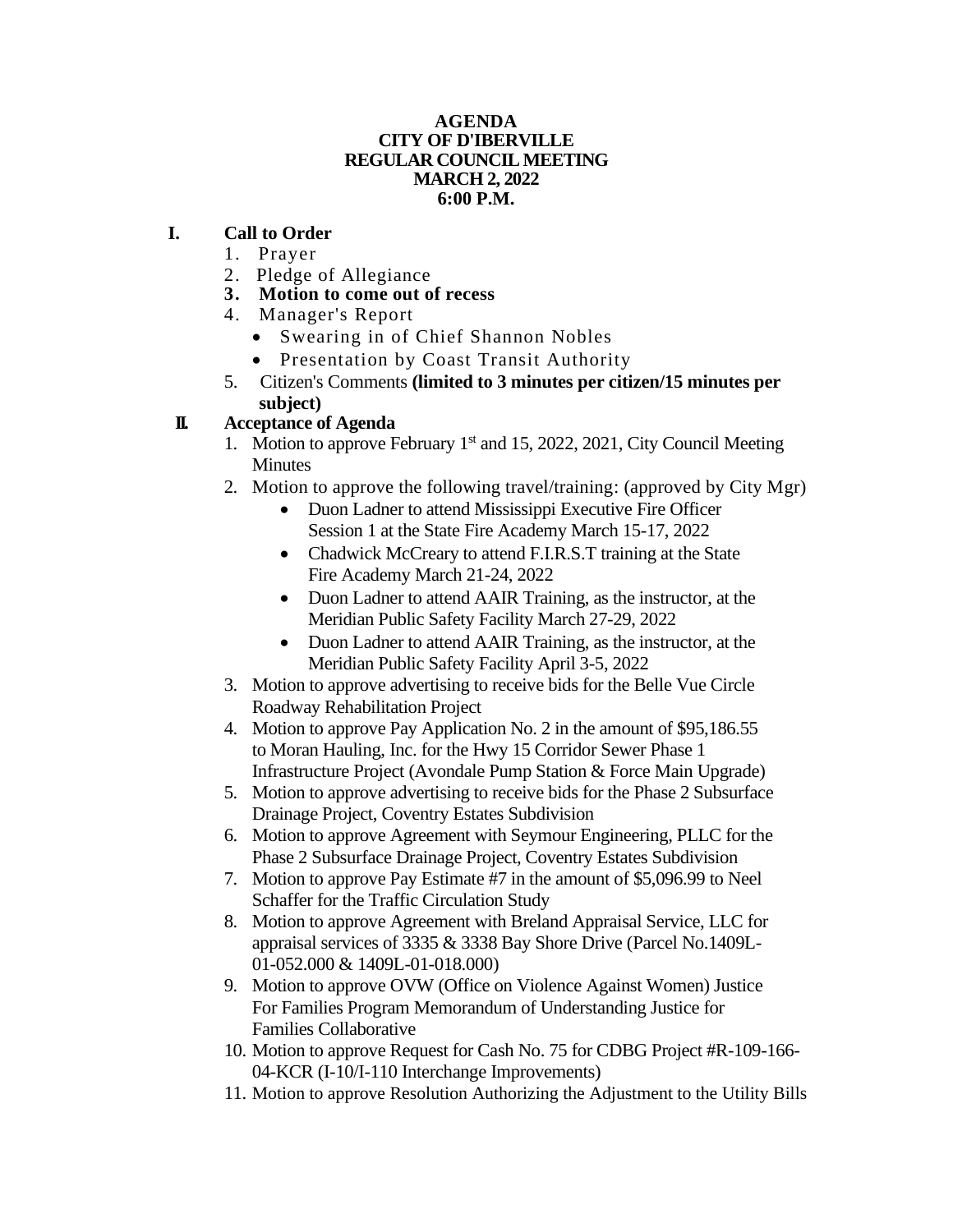### **AGENDA CITY OF D'IBERVILLE REGULAR COUNCIL MEETING MARCH 2, 2022 6:00 P.M.**

### **I. Call to Order**

- 1. Prayer
- 2. Pledge of Allegiance
- **3. Motion to come out of recess**
- 4. Manager's Report
	- Swearing in of Chief Shannon Nobles
	- Presentation by Coast Transit Authority
- 5. Citizen's Comments **(limited to 3 minutes per citizen/15 minutes per subject)**

# **II. Acceptance of Agenda**

- 1. Motion to approve February 1<sup>st</sup> and 15, 2022, 2021, City Council Meeting **Minutes**
- 2. Motion to approve the following travel/training: (approved by City Mgr)
	- Duon Ladner to attend Mississippi Executive Fire Officer Session 1 at the State Fire Academy March 15-17, 2022
	- Chadwick McCreary to attend F.I.R.S.T training at the State Fire Academy March 21-24, 2022
	- Duon Ladner to attend AAIR Training, as the instructor, at the Meridian Public Safety Facility March 27-29, 2022
	- Duon Ladner to attend AAIR Training, as the instructor, at the Meridian Public Safety Facility April 3-5, 2022
- 3. Motion to approve advertising to receive bids for the Belle Vue Circle Roadway Rehabilitation Project
- 4. Motion to approve Pay Application No. 2 in the amount of \$95,186.55 to Moran Hauling, Inc. for the Hwy 15 Corridor Sewer Phase 1 Infrastructure Project (Avondale Pump Station & Force Main Upgrade)
- 5. Motion to approve advertising to receive bids for the Phase 2 Subsurface Drainage Project, Coventry Estates Subdivision
- 6. Motion to approve Agreement with Seymour Engineering, PLLC for the Phase 2 Subsurface Drainage Project, Coventry Estates Subdivision
- 7. Motion to approve Pay Estimate #7 in the amount of \$5,096.99 to Neel Schaffer for the Traffic Circulation Study
- 8. Motion to approve Agreement with Breland Appraisal Service, LLC for appraisal services of 3335 & 3338 Bay Shore Drive (Parcel No.1409L-01-052.000 & 1409L-01-018.000)
- 9. Motion to approve OVW (Office on Violence Against Women) Justice For Families Program Memorandum of Understanding Justice for Families Collaborative
- 10. Motion to approve Request for Cash No. 75 for CDBG Project #R-109-166- 04-KCR (I-10/I-110 Interchange Improvements)
- 11. Motion to approve Resolution Authorizing the Adjustment to the Utility Bills